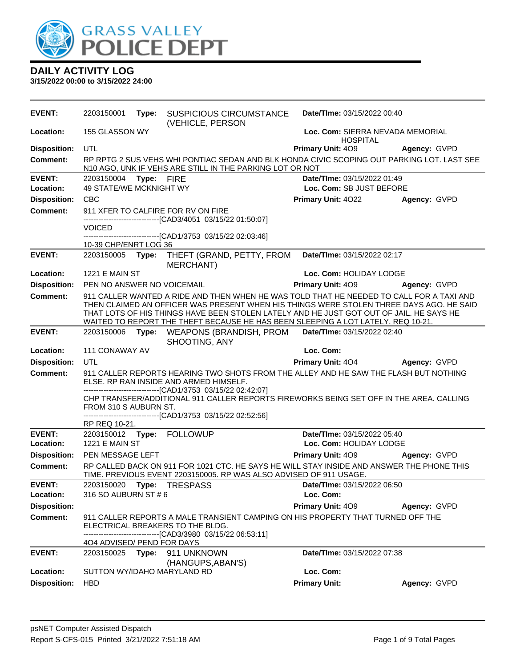

| 155 GLASSON WY<br>Loc. Com: SIERRA NEVADA MEMORIAL<br><b>HOSPITAL</b><br><b>Disposition:</b><br>UTL<br><b>Primary Unit: 409</b><br>Agency: GVPD<br>RP RPTG 2 SUS VEHS WHI PONTIAC SEDAN AND BLK HONDA CIVIC SCOPING OUT PARKING LOT. LAST SEE<br>Comment:<br>N10 AGO, UNK IF VEHS ARE STILL IN THE PARKING LOT OR NOT<br><b>EVENT:</b><br>Date/TIme: 03/15/2022 01:49<br>2203150004<br>Type: FIRE<br>Location:<br>49 STATE/WE MCKNIGHT WY<br>Loc. Com: SB JUST BEFORE<br><b>Disposition:</b><br><b>CBC</b><br><b>Primary Unit: 4022</b><br>Agency: GVPD<br><b>Comment:</b><br>911 XFER TO CALFIRE FOR RV ON FIRE<br>-------------------------------[CAD3/4051 03/15/22 01:50:07]<br><b>VOICED</b><br>------------------------------[CAD1/3753 03/15/22 02:03:46]<br>10-39 CHP/ENRT LOG 36<br>Date/TIme: 03/15/2022 02:17<br>2203150005 Type: THEFT (GRAND, PETTY, FROM<br><b>MERCHANT</b> )<br><b>1221 E MAIN ST</b><br>Loc. Com: HOLIDAY LODGE<br><b>Disposition:</b><br><b>Primary Unit: 409</b><br>PEN NO ANSWER NO VOICEMAIL<br>Agency: GVPD<br>911 CALLER WANTED A RIDE AND THEN WHEN HE WAS TOLD THAT HE NEEDED TO CALL FOR A TAXI AND<br><b>Comment:</b><br>THEN CLAIMED AN OFFICER WAS PRESENT WHEN HIS THINGS WERE STOLEN THREE DAYS AGO. HE SAID<br>THAT LOTS OF HIS THINGS HAVE BEEN STOLEN LATELY AND HE JUST GOT OUT OF JAIL. HE SAYS HE<br>WAITED TO REPORT THE THEFT BECAUSE HE HAS BEEN SLEEPING A LOT LATELY. REQ 10-21.<br>2203150006 Type: WEAPONS (BRANDISH, PROM Date/Time: 03/15/2022 02:40<br>SHOOTING, ANY<br>Loc. Com:<br>Location:<br>111 CONAWAY AV<br>UTL<br><b>Disposition:</b><br><b>Primary Unit: 404</b><br>Agency: GVPD<br>911 CALLER REPORTS HEARING TWO SHOTS FROM THE ALLEY AND HE SAW THE FLASH BUT NOTHING<br>ELSE. RP RAN INSIDE AND ARMED HIMSELF.<br>-------------------------------[CAD1/3753 03/15/22 02:42:07]<br>CHP TRANSFER/ADDITIONAL 911 CALLER REPORTS FIREWORKS BEING SET OFF IN THE AREA. CALLING<br>FROM 310 S AUBURN ST.<br>-------------------------------[CAD1/3753 03/15/22 02:52:56]<br>RP REQ 10-21.<br>Date/TIme: 03/15/2022 05:40<br>2203150012 Type: FOLLOWUP<br>1221 E MAIN ST<br>Location:<br>Loc. Com: HOLIDAY LODGE<br><b>Disposition:</b><br>PEN MESSAGE LEFT<br>Primary Unit: 409<br>Agency: GVPD<br>RP CALLED BACK ON 911 FOR 1021 CTC. HE SAYS HE WILL STAY INSIDE AND ANSWER THE PHONE THIS<br><b>Comment:</b><br>TIME. PREVIOUS EVENT 2203150005. RP WAS ALSO ADVISED OF 911 USAGE.<br><b>EVENT:</b><br>2203150020 Type: TRESPASS Date/Time: 03/15/2022 06:50<br>316 SO AUBURN ST # 6<br>Loc. Com:<br>Location:<br><b>Disposition:</b><br>Primary Unit: 409<br>Agency: GVPD<br><b>Comment:</b><br>911 CALLER REPORTS A MALE TRANSIENT CAMPING ON HIS PROPERTY THAT TURNED OFF THE<br>ELECTRICAL BREAKERS TO THE BLDG.<br>------------------------[CAD3/3980_03/15/22_06:53:11]<br>404 ADVISED/ PEND FOR DAYS<br><b>EVENT:</b><br>Date/TIme: 03/15/2022 07:38<br>2203150025 Type: 911 UNKNOWN<br>(HANGUPS, ABAN'S)<br>Loc. Com:<br>Location:<br>SUTTON WY/IDAHO MARYLAND RD | <b>EVENT:</b>       | 2203150001 | Type: | <b>SUSPICIOUS CIRCUMSTANCE</b><br>(VEHICLE, PERSON | Date/TIme: 03/15/2022 00:40 |              |
|----------------------------------------------------------------------------------------------------------------------------------------------------------------------------------------------------------------------------------------------------------------------------------------------------------------------------------------------------------------------------------------------------------------------------------------------------------------------------------------------------------------------------------------------------------------------------------------------------------------------------------------------------------------------------------------------------------------------------------------------------------------------------------------------------------------------------------------------------------------------------------------------------------------------------------------------------------------------------------------------------------------------------------------------------------------------------------------------------------------------------------------------------------------------------------------------------------------------------------------------------------------------------------------------------------------------------------------------------------------------------------------------------------------------------------------------------------------------------------------------------------------------------------------------------------------------------------------------------------------------------------------------------------------------------------------------------------------------------------------------------------------------------------------------------------------------------------------------------------------------------------------------------------------------------------------------------------------------------------------------------------------------------------------------------------------------------------------------------------------------------------------------------------------------------------------------------------------------------------------------------------------------------------------------------------------------------------------------------------------------------------------------------------------------------------------------------------------------------------------------------------------------------------------------------------------------------------------------------------------------------------------------------------------------------------------------------------------------------------------------------------------------------------------------------------------------------------------------------------------------------------------------------------------------------------------------------------------------------------------------------------------------------------------------------|---------------------|------------|-------|----------------------------------------------------|-----------------------------|--------------|
|                                                                                                                                                                                                                                                                                                                                                                                                                                                                                                                                                                                                                                                                                                                                                                                                                                                                                                                                                                                                                                                                                                                                                                                                                                                                                                                                                                                                                                                                                                                                                                                                                                                                                                                                                                                                                                                                                                                                                                                                                                                                                                                                                                                                                                                                                                                                                                                                                                                                                                                                                                                                                                                                                                                                                                                                                                                                                                                                                                                                                                                    | Location:           |            |       |                                                    |                             |              |
|                                                                                                                                                                                                                                                                                                                                                                                                                                                                                                                                                                                                                                                                                                                                                                                                                                                                                                                                                                                                                                                                                                                                                                                                                                                                                                                                                                                                                                                                                                                                                                                                                                                                                                                                                                                                                                                                                                                                                                                                                                                                                                                                                                                                                                                                                                                                                                                                                                                                                                                                                                                                                                                                                                                                                                                                                                                                                                                                                                                                                                                    |                     |            |       |                                                    |                             |              |
|                                                                                                                                                                                                                                                                                                                                                                                                                                                                                                                                                                                                                                                                                                                                                                                                                                                                                                                                                                                                                                                                                                                                                                                                                                                                                                                                                                                                                                                                                                                                                                                                                                                                                                                                                                                                                                                                                                                                                                                                                                                                                                                                                                                                                                                                                                                                                                                                                                                                                                                                                                                                                                                                                                                                                                                                                                                                                                                                                                                                                                                    |                     |            |       |                                                    |                             |              |
|                                                                                                                                                                                                                                                                                                                                                                                                                                                                                                                                                                                                                                                                                                                                                                                                                                                                                                                                                                                                                                                                                                                                                                                                                                                                                                                                                                                                                                                                                                                                                                                                                                                                                                                                                                                                                                                                                                                                                                                                                                                                                                                                                                                                                                                                                                                                                                                                                                                                                                                                                                                                                                                                                                                                                                                                                                                                                                                                                                                                                                                    |                     |            |       |                                                    |                             |              |
|                                                                                                                                                                                                                                                                                                                                                                                                                                                                                                                                                                                                                                                                                                                                                                                                                                                                                                                                                                                                                                                                                                                                                                                                                                                                                                                                                                                                                                                                                                                                                                                                                                                                                                                                                                                                                                                                                                                                                                                                                                                                                                                                                                                                                                                                                                                                                                                                                                                                                                                                                                                                                                                                                                                                                                                                                                                                                                                                                                                                                                                    |                     |            |       |                                                    |                             |              |
|                                                                                                                                                                                                                                                                                                                                                                                                                                                                                                                                                                                                                                                                                                                                                                                                                                                                                                                                                                                                                                                                                                                                                                                                                                                                                                                                                                                                                                                                                                                                                                                                                                                                                                                                                                                                                                                                                                                                                                                                                                                                                                                                                                                                                                                                                                                                                                                                                                                                                                                                                                                                                                                                                                                                                                                                                                                                                                                                                                                                                                                    |                     |            |       |                                                    |                             |              |
|                                                                                                                                                                                                                                                                                                                                                                                                                                                                                                                                                                                                                                                                                                                                                                                                                                                                                                                                                                                                                                                                                                                                                                                                                                                                                                                                                                                                                                                                                                                                                                                                                                                                                                                                                                                                                                                                                                                                                                                                                                                                                                                                                                                                                                                                                                                                                                                                                                                                                                                                                                                                                                                                                                                                                                                                                                                                                                                                                                                                                                                    |                     |            |       |                                                    |                             |              |
|                                                                                                                                                                                                                                                                                                                                                                                                                                                                                                                                                                                                                                                                                                                                                                                                                                                                                                                                                                                                                                                                                                                                                                                                                                                                                                                                                                                                                                                                                                                                                                                                                                                                                                                                                                                                                                                                                                                                                                                                                                                                                                                                                                                                                                                                                                                                                                                                                                                                                                                                                                                                                                                                                                                                                                                                                                                                                                                                                                                                                                                    |                     |            |       |                                                    |                             |              |
|                                                                                                                                                                                                                                                                                                                                                                                                                                                                                                                                                                                                                                                                                                                                                                                                                                                                                                                                                                                                                                                                                                                                                                                                                                                                                                                                                                                                                                                                                                                                                                                                                                                                                                                                                                                                                                                                                                                                                                                                                                                                                                                                                                                                                                                                                                                                                                                                                                                                                                                                                                                                                                                                                                                                                                                                                                                                                                                                                                                                                                                    |                     |            |       |                                                    |                             |              |
|                                                                                                                                                                                                                                                                                                                                                                                                                                                                                                                                                                                                                                                                                                                                                                                                                                                                                                                                                                                                                                                                                                                                                                                                                                                                                                                                                                                                                                                                                                                                                                                                                                                                                                                                                                                                                                                                                                                                                                                                                                                                                                                                                                                                                                                                                                                                                                                                                                                                                                                                                                                                                                                                                                                                                                                                                                                                                                                                                                                                                                                    | <b>EVENT:</b>       |            |       |                                                    |                             |              |
|                                                                                                                                                                                                                                                                                                                                                                                                                                                                                                                                                                                                                                                                                                                                                                                                                                                                                                                                                                                                                                                                                                                                                                                                                                                                                                                                                                                                                                                                                                                                                                                                                                                                                                                                                                                                                                                                                                                                                                                                                                                                                                                                                                                                                                                                                                                                                                                                                                                                                                                                                                                                                                                                                                                                                                                                                                                                                                                                                                                                                                                    | Location:           |            |       |                                                    |                             |              |
|                                                                                                                                                                                                                                                                                                                                                                                                                                                                                                                                                                                                                                                                                                                                                                                                                                                                                                                                                                                                                                                                                                                                                                                                                                                                                                                                                                                                                                                                                                                                                                                                                                                                                                                                                                                                                                                                                                                                                                                                                                                                                                                                                                                                                                                                                                                                                                                                                                                                                                                                                                                                                                                                                                                                                                                                                                                                                                                                                                                                                                                    |                     |            |       |                                                    |                             |              |
|                                                                                                                                                                                                                                                                                                                                                                                                                                                                                                                                                                                                                                                                                                                                                                                                                                                                                                                                                                                                                                                                                                                                                                                                                                                                                                                                                                                                                                                                                                                                                                                                                                                                                                                                                                                                                                                                                                                                                                                                                                                                                                                                                                                                                                                                                                                                                                                                                                                                                                                                                                                                                                                                                                                                                                                                                                                                                                                                                                                                                                                    |                     |            |       |                                                    |                             |              |
|                                                                                                                                                                                                                                                                                                                                                                                                                                                                                                                                                                                                                                                                                                                                                                                                                                                                                                                                                                                                                                                                                                                                                                                                                                                                                                                                                                                                                                                                                                                                                                                                                                                                                                                                                                                                                                                                                                                                                                                                                                                                                                                                                                                                                                                                                                                                                                                                                                                                                                                                                                                                                                                                                                                                                                                                                                                                                                                                                                                                                                                    | <b>EVENT:</b>       |            |       |                                                    |                             |              |
|                                                                                                                                                                                                                                                                                                                                                                                                                                                                                                                                                                                                                                                                                                                                                                                                                                                                                                                                                                                                                                                                                                                                                                                                                                                                                                                                                                                                                                                                                                                                                                                                                                                                                                                                                                                                                                                                                                                                                                                                                                                                                                                                                                                                                                                                                                                                                                                                                                                                                                                                                                                                                                                                                                                                                                                                                                                                                                                                                                                                                                                    |                     |            |       |                                                    |                             |              |
|                                                                                                                                                                                                                                                                                                                                                                                                                                                                                                                                                                                                                                                                                                                                                                                                                                                                                                                                                                                                                                                                                                                                                                                                                                                                                                                                                                                                                                                                                                                                                                                                                                                                                                                                                                                                                                                                                                                                                                                                                                                                                                                                                                                                                                                                                                                                                                                                                                                                                                                                                                                                                                                                                                                                                                                                                                                                                                                                                                                                                                                    |                     |            |       |                                                    |                             |              |
|                                                                                                                                                                                                                                                                                                                                                                                                                                                                                                                                                                                                                                                                                                                                                                                                                                                                                                                                                                                                                                                                                                                                                                                                                                                                                                                                                                                                                                                                                                                                                                                                                                                                                                                                                                                                                                                                                                                                                                                                                                                                                                                                                                                                                                                                                                                                                                                                                                                                                                                                                                                                                                                                                                                                                                                                                                                                                                                                                                                                                                                    | <b>Comment:</b>     |            |       |                                                    |                             |              |
|                                                                                                                                                                                                                                                                                                                                                                                                                                                                                                                                                                                                                                                                                                                                                                                                                                                                                                                                                                                                                                                                                                                                                                                                                                                                                                                                                                                                                                                                                                                                                                                                                                                                                                                                                                                                                                                                                                                                                                                                                                                                                                                                                                                                                                                                                                                                                                                                                                                                                                                                                                                                                                                                                                                                                                                                                                                                                                                                                                                                                                                    |                     |            |       |                                                    |                             |              |
|                                                                                                                                                                                                                                                                                                                                                                                                                                                                                                                                                                                                                                                                                                                                                                                                                                                                                                                                                                                                                                                                                                                                                                                                                                                                                                                                                                                                                                                                                                                                                                                                                                                                                                                                                                                                                                                                                                                                                                                                                                                                                                                                                                                                                                                                                                                                                                                                                                                                                                                                                                                                                                                                                                                                                                                                                                                                                                                                                                                                                                                    |                     |            |       |                                                    |                             |              |
|                                                                                                                                                                                                                                                                                                                                                                                                                                                                                                                                                                                                                                                                                                                                                                                                                                                                                                                                                                                                                                                                                                                                                                                                                                                                                                                                                                                                                                                                                                                                                                                                                                                                                                                                                                                                                                                                                                                                                                                                                                                                                                                                                                                                                                                                                                                                                                                                                                                                                                                                                                                                                                                                                                                                                                                                                                                                                                                                                                                                                                                    | <b>EVENT:</b>       |            |       |                                                    |                             |              |
|                                                                                                                                                                                                                                                                                                                                                                                                                                                                                                                                                                                                                                                                                                                                                                                                                                                                                                                                                                                                                                                                                                                                                                                                                                                                                                                                                                                                                                                                                                                                                                                                                                                                                                                                                                                                                                                                                                                                                                                                                                                                                                                                                                                                                                                                                                                                                                                                                                                                                                                                                                                                                                                                                                                                                                                                                                                                                                                                                                                                                                                    |                     |            |       |                                                    |                             |              |
|                                                                                                                                                                                                                                                                                                                                                                                                                                                                                                                                                                                                                                                                                                                                                                                                                                                                                                                                                                                                                                                                                                                                                                                                                                                                                                                                                                                                                                                                                                                                                                                                                                                                                                                                                                                                                                                                                                                                                                                                                                                                                                                                                                                                                                                                                                                                                                                                                                                                                                                                                                                                                                                                                                                                                                                                                                                                                                                                                                                                                                                    |                     |            |       |                                                    |                             |              |
|                                                                                                                                                                                                                                                                                                                                                                                                                                                                                                                                                                                                                                                                                                                                                                                                                                                                                                                                                                                                                                                                                                                                                                                                                                                                                                                                                                                                                                                                                                                                                                                                                                                                                                                                                                                                                                                                                                                                                                                                                                                                                                                                                                                                                                                                                                                                                                                                                                                                                                                                                                                                                                                                                                                                                                                                                                                                                                                                                                                                                                                    |                     |            |       |                                                    |                             |              |
|                                                                                                                                                                                                                                                                                                                                                                                                                                                                                                                                                                                                                                                                                                                                                                                                                                                                                                                                                                                                                                                                                                                                                                                                                                                                                                                                                                                                                                                                                                                                                                                                                                                                                                                                                                                                                                                                                                                                                                                                                                                                                                                                                                                                                                                                                                                                                                                                                                                                                                                                                                                                                                                                                                                                                                                                                                                                                                                                                                                                                                                    |                     |            |       |                                                    |                             |              |
|                                                                                                                                                                                                                                                                                                                                                                                                                                                                                                                                                                                                                                                                                                                                                                                                                                                                                                                                                                                                                                                                                                                                                                                                                                                                                                                                                                                                                                                                                                                                                                                                                                                                                                                                                                                                                                                                                                                                                                                                                                                                                                                                                                                                                                                                                                                                                                                                                                                                                                                                                                                                                                                                                                                                                                                                                                                                                                                                                                                                                                                    |                     |            |       |                                                    |                             |              |
|                                                                                                                                                                                                                                                                                                                                                                                                                                                                                                                                                                                                                                                                                                                                                                                                                                                                                                                                                                                                                                                                                                                                                                                                                                                                                                                                                                                                                                                                                                                                                                                                                                                                                                                                                                                                                                                                                                                                                                                                                                                                                                                                                                                                                                                                                                                                                                                                                                                                                                                                                                                                                                                                                                                                                                                                                                                                                                                                                                                                                                                    |                     |            |       |                                                    |                             |              |
|                                                                                                                                                                                                                                                                                                                                                                                                                                                                                                                                                                                                                                                                                                                                                                                                                                                                                                                                                                                                                                                                                                                                                                                                                                                                                                                                                                                                                                                                                                                                                                                                                                                                                                                                                                                                                                                                                                                                                                                                                                                                                                                                                                                                                                                                                                                                                                                                                                                                                                                                                                                                                                                                                                                                                                                                                                                                                                                                                                                                                                                    |                     |            |       |                                                    |                             |              |
|                                                                                                                                                                                                                                                                                                                                                                                                                                                                                                                                                                                                                                                                                                                                                                                                                                                                                                                                                                                                                                                                                                                                                                                                                                                                                                                                                                                                                                                                                                                                                                                                                                                                                                                                                                                                                                                                                                                                                                                                                                                                                                                                                                                                                                                                                                                                                                                                                                                                                                                                                                                                                                                                                                                                                                                                                                                                                                                                                                                                                                                    |                     |            |       |                                                    |                             |              |
|                                                                                                                                                                                                                                                                                                                                                                                                                                                                                                                                                                                                                                                                                                                                                                                                                                                                                                                                                                                                                                                                                                                                                                                                                                                                                                                                                                                                                                                                                                                                                                                                                                                                                                                                                                                                                                                                                                                                                                                                                                                                                                                                                                                                                                                                                                                                                                                                                                                                                                                                                                                                                                                                                                                                                                                                                                                                                                                                                                                                                                                    |                     |            |       |                                                    |                             |              |
|                                                                                                                                                                                                                                                                                                                                                                                                                                                                                                                                                                                                                                                                                                                                                                                                                                                                                                                                                                                                                                                                                                                                                                                                                                                                                                                                                                                                                                                                                                                                                                                                                                                                                                                                                                                                                                                                                                                                                                                                                                                                                                                                                                                                                                                                                                                                                                                                                                                                                                                                                                                                                                                                                                                                                                                                                                                                                                                                                                                                                                                    | <b>Disposition:</b> | <b>HBD</b> |       |                                                    | <b>Primary Unit:</b>        | Agency: GVPD |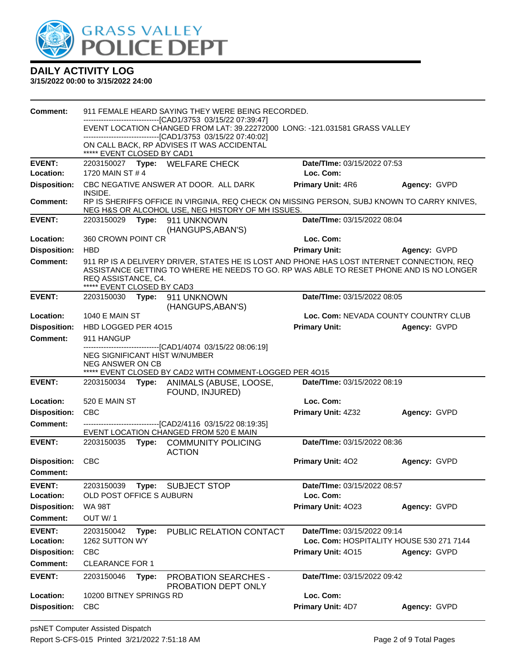

| <b>Comment:</b>                  |                                                                                                                                       | 911 FEMALE HEARD SAYING THEY WERE BEING RECORDED.                                                                                                                                     |                                |                                          |  |  |
|----------------------------------|---------------------------------------------------------------------------------------------------------------------------------------|---------------------------------------------------------------------------------------------------------------------------------------------------------------------------------------|--------------------------------|------------------------------------------|--|--|
|                                  | -------------------------[CAD1/3753_03/15/22_07:39:47]<br>EVENT LOCATION CHANGED FROM LAT: 39.22272000 LONG: -121.031581 GRASS VALLEY |                                                                                                                                                                                       |                                |                                          |  |  |
|                                  |                                                                                                                                       | -------------------------------[CAD1/3753 03/15/22 07:40:02]                                                                                                                          |                                |                                          |  |  |
|                                  | ***** EVENT CLOSED BY CAD1                                                                                                            | ON CALL BACK, RP ADVISES IT WAS ACCIDENTAL                                                                                                                                            |                                |                                          |  |  |
| <b>EVENT:</b>                    |                                                                                                                                       | 2203150027 Type: WELFARE CHECK                                                                                                                                                        | Date/TIme: 03/15/2022 07:53    |                                          |  |  |
| Location:                        | 1720 MAIN ST # 4                                                                                                                      |                                                                                                                                                                                       | Loc. Com:                      |                                          |  |  |
| <b>Disposition:</b>              | INSIDE.                                                                                                                               | CBC NEGATIVE ANSWER AT DOOR. ALL DARK                                                                                                                                                 | <b>Primary Unit: 4R6</b>       | Agency: GVPD                             |  |  |
| Comment:                         |                                                                                                                                       | RP IS SHERIFFS OFFICE IN VIRGINIA, REQ CHECK ON MISSING PERSON, SUBJ KNOWN TO CARRY KNIVES,<br>NEG H&S OR ALCOHOL USE, NEG HISTORY OF MH ISSUES.                                      |                                |                                          |  |  |
| <b>EVENT:</b>                    |                                                                                                                                       | 2203150029    Type: 911    UNKNOWN<br>(HANGUPS, ABAN'S)                                                                                                                               | Date/TIme: 03/15/2022 08:04    |                                          |  |  |
| Location:                        | 360 CROWN POINT CR                                                                                                                    |                                                                                                                                                                                       | Loc. Com:                      |                                          |  |  |
| <b>Disposition:</b>              | <b>HBD</b>                                                                                                                            |                                                                                                                                                                                       | <b>Primary Unit:</b>           | Agency: GVPD                             |  |  |
| <b>Comment:</b>                  | REQ ASSISTANCE, C4.<br>***** EVENT CLOSED BY CAD3                                                                                     | 911 RP IS A DELIVERY DRIVER, STATES HE IS LOST AND PHONE HAS LOST INTERNET CONNECTION, REQ<br>ASSISTANCE GETTING TO WHERE HE NEEDS TO GO. RP WAS ABLE TO RESET PHONE AND IS NO LONGER |                                |                                          |  |  |
| <b>EVENT:</b>                    |                                                                                                                                       | 2203150030 Type: 911 UNKNOWN<br>(HANGUPS, ABAN'S)                                                                                                                                     | Date/TIme: 03/15/2022 08:05    |                                          |  |  |
| Location:                        | 1040 E MAIN ST                                                                                                                        |                                                                                                                                                                                       |                                | Loc. Com: NEVADA COUNTY COUNTRY CLUB     |  |  |
| <b>Disposition:</b>              | HBD LOGGED PER 4015                                                                                                                   |                                                                                                                                                                                       | <b>Primary Unit:</b>           | Agency: GVPD                             |  |  |
| <b>Comment:</b>                  | 911 HANGUP                                                                                                                            |                                                                                                                                                                                       |                                |                                          |  |  |
|                                  | NEG SIGNIFICANT HIST W/NUMBER<br>NEG ANSWER ON CB                                                                                     | --------------------------------[CAD1/4074 03/15/22 08:06:19]<br>***** EVENT CLOSED BY CAD2 WITH COMMENT-LOGGED PER 4015                                                              |                                |                                          |  |  |
| <b>EVENT:</b>                    | 2203150034 Type:                                                                                                                      | ANIMALS (ABUSE, LOOSE,                                                                                                                                                                | Date/TIme: 03/15/2022 08:19    |                                          |  |  |
|                                  |                                                                                                                                       | FOUND, INJURED)                                                                                                                                                                       |                                |                                          |  |  |
| Location:                        | 520 E MAIN ST                                                                                                                         |                                                                                                                                                                                       | Loc. Com:                      |                                          |  |  |
| <b>Disposition:</b>              | <b>CBC</b>                                                                                                                            |                                                                                                                                                                                       | Primary Unit: 4Z32             | Agency: GVPD                             |  |  |
| Comment:                         |                                                                                                                                       | ------------------------------[CAD2/4116 03/15/22 08:19:35]<br>EVENT LOCATION CHANGED FROM 520 E MAIN                                                                                 |                                |                                          |  |  |
| <b>EVENT:</b>                    |                                                                                                                                       | 2203150035 Type: COMMUNITY POLICING<br><b>ACTION</b>                                                                                                                                  | Date/TIme: 03/15/2022 08:36    |                                          |  |  |
| <b>Disposition:</b>              | CBC                                                                                                                                   |                                                                                                                                                                                       | Primary Unit: 402              | Agency: GVPD                             |  |  |
| <b>Comment:</b>                  |                                                                                                                                       |                                                                                                                                                                                       |                                |                                          |  |  |
| <b>EVENT:</b>                    | 2203150039                                                                                                                            | Type: SUBJECT STOP                                                                                                                                                                    | Date/TIme: 03/15/2022 08:57    |                                          |  |  |
| Location:                        | OLD POST OFFICE S AUBURN                                                                                                              |                                                                                                                                                                                       | Loc. Com:                      |                                          |  |  |
| <b>Disposition:</b>              | <b>WA 98T</b>                                                                                                                         |                                                                                                                                                                                       | Primary Unit: 4023             | Agency: GVPD                             |  |  |
| <b>Comment:</b>                  | OUT W/1                                                                                                                               |                                                                                                                                                                                       |                                |                                          |  |  |
| <b>EVENT:</b>                    | 2203150042<br>Type:                                                                                                                   | PUBLIC RELATION CONTACT                                                                                                                                                               | Date/TIme: 03/15/2022 09:14    |                                          |  |  |
|                                  |                                                                                                                                       |                                                                                                                                                                                       |                                |                                          |  |  |
| Location:                        | 1262 SUTTON WY                                                                                                                        |                                                                                                                                                                                       |                                | Loc. Com: HOSPITALITY HOUSE 530 271 7144 |  |  |
| <b>Disposition:</b>              | <b>CBC</b>                                                                                                                            |                                                                                                                                                                                       | Primary Unit: 4015             | Agency: GVPD                             |  |  |
| <b>Comment:</b>                  | <b>CLEARANCE FOR 1</b>                                                                                                                |                                                                                                                                                                                       |                                |                                          |  |  |
| <b>EVENT:</b>                    | 2203150046<br>Type:                                                                                                                   | <b>PROBATION SEARCHES -</b><br>PROBATION DEPT ONLY                                                                                                                                    | Date/TIme: 03/15/2022 09:42    |                                          |  |  |
| Location:<br><b>Disposition:</b> | 10200 BITNEY SPRINGS RD<br><b>CBC</b>                                                                                                 |                                                                                                                                                                                       | Loc. Com:<br>Primary Unit: 4D7 | Agency: GVPD                             |  |  |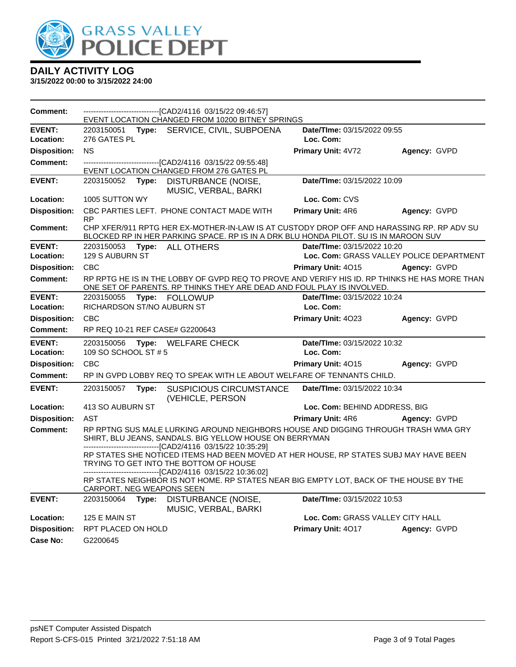

| Comment:                   |                            |       | EVENT LOCATION CHANGED FROM 10200 BITNEY SPRINGS                                                                                                                                                 |                                          |              |
|----------------------------|----------------------------|-------|--------------------------------------------------------------------------------------------------------------------------------------------------------------------------------------------------|------------------------------------------|--------------|
| <b>EVENT:</b>              |                            |       | 2203150051 Type: SERVICE, CIVIL, SUBPOENA                                                                                                                                                        | Date/TIme: 03/15/2022 09:55              |              |
| Location:                  | 276 GATES PL               |       |                                                                                                                                                                                                  | Loc. Com:                                |              |
| <b>Disposition:</b>        | <b>NS</b>                  |       |                                                                                                                                                                                                  | Primary Unit: 4V72                       | Agency: GVPD |
| Comment:                   |                            |       | ---------------------------------[CAD2/4116 03/15/22 09:55:48]<br>EVENT LOCATION CHANGED FROM 276 GATES PL                                                                                       |                                          |              |
| <b>EVENT:</b>              |                            |       | 2203150052 Type: DISTURBANCE (NOISE,<br>MUSIC, VERBAL, BARKI                                                                                                                                     | Date/TIme: 03/15/2022 10:09              |              |
| <b>Location:</b>           | 1005 SUTTON WY             |       |                                                                                                                                                                                                  | Loc. Com: CVS                            |              |
| <b>Disposition:</b>        | <b>RP</b>                  |       | CBC PARTIES LEFT. PHONE CONTACT MADE WITH                                                                                                                                                        | Primary Unit: 4R6                        | Agency: GVPD |
| <b>Comment:</b>            |                            |       | CHP XFER/911 RPTG HER EX-MOTHER-IN-LAW IS AT CUSTODY DROP OFF AND HARASSING RP. RP ADV SU<br>BLOCKED RP IN HER PARKING SPACE. RP IS IN A DRK BLU HONDA PILOT. SU IS IN MAROON SUV                |                                          |              |
| <b>EVENT:</b>              |                            |       | 2203150053 Type: ALL OTHERS                                                                                                                                                                      | Date/TIme: 03/15/2022 10:20              |              |
| Location:                  | 129 S AUBURN ST            |       |                                                                                                                                                                                                  | Loc. Com: GRASS VALLEY POLICE DEPARTMENT |              |
| <b>Disposition:</b>        | CBC                        |       |                                                                                                                                                                                                  | Primary Unit: 4015                       | Agency: GVPD |
| Comment:                   |                            |       | RP RPTG HE IS IN THE LOBBY OF GVPD REQ TO PROVE AND VERIFY HIS ID. RP THINKS HE HAS MORE THAN<br>ONE SET OF PARENTS. RP THINKS THEY ARE DEAD AND FOUL PLAY IS INVOLVED.                          |                                          |              |
| <b>EVENT:</b><br>Location: | RICHARDSON ST/NO AUBURN ST |       | 2203150055 Type: FOLLOWUP                                                                                                                                                                        | Date/TIme: 03/15/2022 10:24<br>Loc. Com: |              |
| <b>Disposition:</b>        | <b>CBC</b>                 |       |                                                                                                                                                                                                  | Primary Unit: 4023                       | Agency: GVPD |
| Comment:                   |                            |       | RP REQ 10-21 REF CASE# G2200643                                                                                                                                                                  |                                          |              |
| <b>EVENT:</b>              |                            |       | 2203150056 Type: WELFARE CHECK                                                                                                                                                                   | Date/TIme: 03/15/2022 10:32              |              |
| Location:                  | 109 SO SCHOOL ST # 5       |       |                                                                                                                                                                                                  | Loc. Com:                                |              |
| <b>Disposition:</b>        | <b>CBC</b>                 |       |                                                                                                                                                                                                  | Primary Unit: 4015                       | Agency: GVPD |
| <b>Comment:</b>            |                            |       | RP IN GVPD LOBBY REQ TO SPEAK WITH LE ABOUT WELFARE OF TENNANTS CHILD.                                                                                                                           |                                          |              |
| <b>EVENT:</b>              | 2203150057                 |       |                                                                                                                                                                                                  |                                          |              |
|                            |                            | Type: | <b>SUSPICIOUS CIRCUMSTANCE</b>                                                                                                                                                                   | Date/TIme: 03/15/2022 10:34              |              |
| Location:                  | 413 SO AUBURN ST           |       | (VEHICLE, PERSON                                                                                                                                                                                 | Loc. Com: BEHIND ADDRESS, BIG            |              |
| <b>Disposition:</b>        | <b>AST</b>                 |       |                                                                                                                                                                                                  | <b>Primary Unit: 4R6</b>                 | Agency: GVPD |
| <b>Comment:</b>            |                            |       | RP RPTNG SUS MALE LURKING AROUND NEIGHBORS HOUSE AND DIGGING THROUGH TRASH WMA GRY<br>SHIRT, BLU JEANS, SANDALS. BIG YELLOW HOUSE ON BERRYMAN                                                    |                                          |              |
|                            |                            |       | --------------------------------[CAD2/4116 03/15/22 10:35:29]<br>RP STATES SHE NOTICED ITEMS HAD BEEN MOVED AT HER HOUSE, RP STATES SUBJ MAY HAVE BEEN<br>TRYING TO GET INTO THE BOTTOM OF HOUSE |                                          |              |
|                            | CARPORT. NEG WEAPONS SEEN  |       | -------------------------------[CAD2/4116 03/15/22 10:36:02]<br>RP STATES NEIGHBOR IS NOT HOME. RP STATES NEAR BIG EMPTY LOT, BACK OF THE HOUSE BY THE                                           |                                          |              |
| <b>EVENT:</b>              | 2203150064                 | Type: | DISTURBANCE (NOISE,                                                                                                                                                                              | Date/TIme: 03/15/2022 10:53              |              |
| Location:                  | 125 E MAIN ST              |       | MUSIC, VERBAL, BARKI                                                                                                                                                                             | Loc. Com: GRASS VALLEY CITY HALL         |              |
| <b>Disposition:</b>        | RPT PLACED ON HOLD         |       |                                                                                                                                                                                                  | Primary Unit: 4017                       | Agency: GVPD |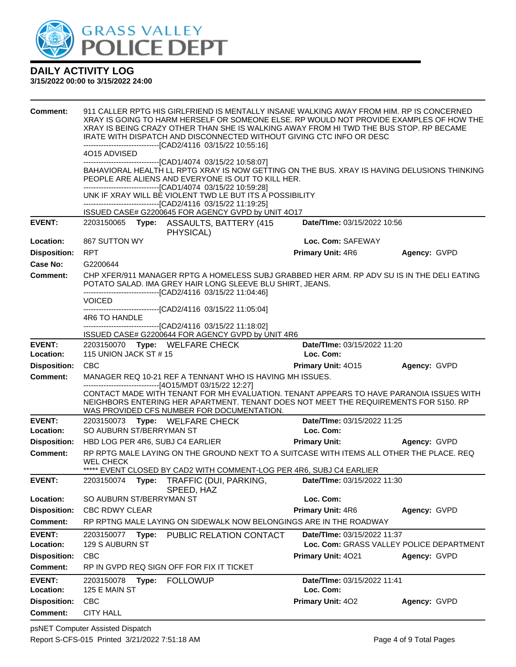

| Comment:                               | 911 CALLER RPTG HIS GIRLFRIEND IS MENTALLY INSANE WALKING AWAY FROM HIM. RP IS CONCERNED<br>XRAY IS GOING TO HARM HERSELF OR SOMEONE ELSE. RP WOULD NOT PROVIDE EXAMPLES OF HOW THE<br>XRAY IS BEING CRAZY OTHER THAN SHE IS WALKING AWAY FROM HI TWD THE BUS STOP. RP BECAME<br>IRATE WITH DISPATCH AND DISCONNECTED WITHOUT GIVING CTC INFO OR DESC<br>-------------------------------[CAD2/4116 03/15/22 10:55:16] |                                                                                                                                                                                                                                                                                          |                             |                                          |  |  |  |  |  |
|----------------------------------------|-----------------------------------------------------------------------------------------------------------------------------------------------------------------------------------------------------------------------------------------------------------------------------------------------------------------------------------------------------------------------------------------------------------------------|------------------------------------------------------------------------------------------------------------------------------------------------------------------------------------------------------------------------------------------------------------------------------------------|-----------------------------|------------------------------------------|--|--|--|--|--|
|                                        | 4O15 ADVISED                                                                                                                                                                                                                                                                                                                                                                                                          |                                                                                                                                                                                                                                                                                          |                             |                                          |  |  |  |  |  |
|                                        |                                                                                                                                                                                                                                                                                                                                                                                                                       | --------------------------------[CAD1/4074_03/15/22 10:58:07]                                                                                                                                                                                                                            |                             |                                          |  |  |  |  |  |
|                                        |                                                                                                                                                                                                                                                                                                                                                                                                                       | BAHAVIORAL HEALTH LL RPTG XRAY IS NOW GETTING ON THE BUS. XRAY IS HAVING DELUSIONS THINKING<br>PEOPLE ARE ALIENS AND EVERYONE IS OUT TO KILL HER.                                                                                                                                        |                             |                                          |  |  |  |  |  |
|                                        | -------------------------------[CAD1/4074 03/15/22 10:59:28]<br>UNK IF XRAY WILL BE VIOLENT TWD LE BUT ITS A POSSIBILITY                                                                                                                                                                                                                                                                                              |                                                                                                                                                                                                                                                                                          |                             |                                          |  |  |  |  |  |
|                                        |                                                                                                                                                                                                                                                                                                                                                                                                                       | ---------------------------------[CAD2/4116 03/15/22 11:19:25]                                                                                                                                                                                                                           |                             |                                          |  |  |  |  |  |
|                                        |                                                                                                                                                                                                                                                                                                                                                                                                                       | ISSUED CASE# G2200645 FOR AGENCY GVPD by UNIT 4O17                                                                                                                                                                                                                                       |                             |                                          |  |  |  |  |  |
| <b>EVENT:</b>                          |                                                                                                                                                                                                                                                                                                                                                                                                                       | 2203150065 Type: ASSAULTS, BATTERY (415<br>PHYSICAL)                                                                                                                                                                                                                                     | Date/TIme: 03/15/2022 10:56 |                                          |  |  |  |  |  |
| Location:                              | 867 SUTTON WY                                                                                                                                                                                                                                                                                                                                                                                                         |                                                                                                                                                                                                                                                                                          | Loc. Com: SAFEWAY           |                                          |  |  |  |  |  |
| <b>Disposition:</b>                    | <b>RPT</b>                                                                                                                                                                                                                                                                                                                                                                                                            |                                                                                                                                                                                                                                                                                          | Primary Unit: 4R6           | Agency: GVPD                             |  |  |  |  |  |
| Case No:                               | G2200644                                                                                                                                                                                                                                                                                                                                                                                                              |                                                                                                                                                                                                                                                                                          |                             |                                          |  |  |  |  |  |
| Comment:                               |                                                                                                                                                                                                                                                                                                                                                                                                                       | CHP XFER/911 MANAGER RPTG A HOMELESS SUBJ GRABBED HER ARM. RP ADV SU IS IN THE DELI EATING<br>POTATO SALAD. IMA GREY HAIR LONG SLEEVE BLU SHIRT, JEANS.<br>--------------------------------[CAD2/4116 03/15/22 11:04:46]                                                                 |                             |                                          |  |  |  |  |  |
|                                        | <b>VOICED</b>                                                                                                                                                                                                                                                                                                                                                                                                         | ------------------------------[CAD2/4116                   03/15/22            11:05:04]                                                                                                                                                                                                 |                             |                                          |  |  |  |  |  |
|                                        | 4R6 TO HANDLE                                                                                                                                                                                                                                                                                                                                                                                                         |                                                                                                                                                                                                                                                                                          |                             |                                          |  |  |  |  |  |
|                                        |                                                                                                                                                                                                                                                                                                                                                                                                                       | -------------------------------[CAD2/4116 03/15/22 11:18:02]<br>ISSUED CASE# G2200644 FOR AGENCY GVPD by UNIT 4R6                                                                                                                                                                        |                             |                                          |  |  |  |  |  |
| <b>EVENT:</b>                          |                                                                                                                                                                                                                                                                                                                                                                                                                       | 2203150070 Type: WELFARE CHECK                                                                                                                                                                                                                                                           | Date/TIme: 03/15/2022 11:20 |                                          |  |  |  |  |  |
| Location:                              | 115 UNION JACK ST #15                                                                                                                                                                                                                                                                                                                                                                                                 |                                                                                                                                                                                                                                                                                          | Loc. Com:                   |                                          |  |  |  |  |  |
| <b>Disposition:</b>                    | <b>CBC</b>                                                                                                                                                                                                                                                                                                                                                                                                            |                                                                                                                                                                                                                                                                                          | Primary Unit: 4015          | Agency: GVPD                             |  |  |  |  |  |
| <b>Comment:</b>                        |                                                                                                                                                                                                                                                                                                                                                                                                                       | MANAGER REQ 10-21 REF A TENNANT WHO IS HAVING MH ISSUES.                                                                                                                                                                                                                                 |                             |                                          |  |  |  |  |  |
|                                        |                                                                                                                                                                                                                                                                                                                                                                                                                       | ------------------------------[4O15/MDT 03/15/22 12:27]<br>CONTACT MADE WITH TENANT FOR MH EVALUATION. TENANT APPEARS TO HAVE PARANOIA ISSUES WITH<br>NEIGHBORS ENTERING HER APARTMENT. TENANT DOES NOT MEET THE REQUIREMENTS FOR 5150. RP<br>WAS PROVIDED CFS NUMBER FOR DOCUMENTATION. |                             |                                          |  |  |  |  |  |
| <b>EVENT:</b>                          | 2203150073                                                                                                                                                                                                                                                                                                                                                                                                            | Type: WELFARE CHECK                                                                                                                                                                                                                                                                      | Date/TIme: 03/15/2022 11:25 |                                          |  |  |  |  |  |
| Location:                              | SO AUBURN ST/BERRYMAN ST                                                                                                                                                                                                                                                                                                                                                                                              |                                                                                                                                                                                                                                                                                          | Loc. Com:                   |                                          |  |  |  |  |  |
| <b>Disposition:</b>                    | HBD LOG PER 4R6, SUBJ C4 EARLIER                                                                                                                                                                                                                                                                                                                                                                                      |                                                                                                                                                                                                                                                                                          | <b>Primary Unit:</b>        | Agency: GVPD                             |  |  |  |  |  |
| <b>Comment:</b>                        | <b>WEL CHECK</b>                                                                                                                                                                                                                                                                                                                                                                                                      | RP RPTG MALE LAYING ON THE GROUND NEXT TO A SUITCASE WITH ITEMS ALL OTHER THE PLACE. REQ                                                                                                                                                                                                 |                             |                                          |  |  |  |  |  |
| <b>EVENT:</b>                          | 2203150074<br>Type:                                                                                                                                                                                                                                                                                                                                                                                                   | ***** EVENT CLOSED BY CAD2 WITH COMMENT-LOG PER 4R6, SUBJ C4 EARLIER<br>TRAFFIC (DUI, PARKING,                                                                                                                                                                                           | Date/Time: 03/15/2022 11:30 |                                          |  |  |  |  |  |
| Location:                              | SO AUBURN ST/BERRYMAN ST                                                                                                                                                                                                                                                                                                                                                                                              | SPEED, HAZ                                                                                                                                                                                                                                                                               | Loc. Com:                   |                                          |  |  |  |  |  |
| <b>Disposition:</b>                    | <b>CBC RDWY CLEAR</b>                                                                                                                                                                                                                                                                                                                                                                                                 |                                                                                                                                                                                                                                                                                          | Primary Unit: 4R6           | Agency: GVPD                             |  |  |  |  |  |
| Comment:                               |                                                                                                                                                                                                                                                                                                                                                                                                                       | RP RPTNG MALE LAYING ON SIDEWALK NOW BELONGINGS ARE IN THE ROADWAY                                                                                                                                                                                                                       |                             |                                          |  |  |  |  |  |
|                                        |                                                                                                                                                                                                                                                                                                                                                                                                                       |                                                                                                                                                                                                                                                                                          |                             |                                          |  |  |  |  |  |
| <b>EVENT:</b><br>Location:             | 2203150077<br>Type:<br>129 S AUBURN ST                                                                                                                                                                                                                                                                                                                                                                                | PUBLIC RELATION CONTACT                                                                                                                                                                                                                                                                  | Date/TIme: 03/15/2022 11:37 | Loc. Com: GRASS VALLEY POLICE DEPARTMENT |  |  |  |  |  |
| <b>Disposition:</b>                    | CBC                                                                                                                                                                                                                                                                                                                                                                                                                   |                                                                                                                                                                                                                                                                                          | Primary Unit: 4021          | Agency: GVPD                             |  |  |  |  |  |
| <b>Comment:</b>                        |                                                                                                                                                                                                                                                                                                                                                                                                                       | RP IN GVPD REQ SIGN OFF FOR FIX IT TICKET                                                                                                                                                                                                                                                |                             |                                          |  |  |  |  |  |
|                                        |                                                                                                                                                                                                                                                                                                                                                                                                                       |                                                                                                                                                                                                                                                                                          |                             |                                          |  |  |  |  |  |
|                                        |                                                                                                                                                                                                                                                                                                                                                                                                                       |                                                                                                                                                                                                                                                                                          |                             |                                          |  |  |  |  |  |
| <b>EVENT:</b>                          | 2203150078<br>Type:                                                                                                                                                                                                                                                                                                                                                                                                   | <b>FOLLOWUP</b>                                                                                                                                                                                                                                                                          | Date/TIme: 03/15/2022 11:41 |                                          |  |  |  |  |  |
| Location:                              | 125 E MAIN ST                                                                                                                                                                                                                                                                                                                                                                                                         |                                                                                                                                                                                                                                                                                          | Loc. Com:                   |                                          |  |  |  |  |  |
| <b>Disposition:</b><br><b>Comment:</b> | <b>CBC</b><br><b>CITY HALL</b>                                                                                                                                                                                                                                                                                                                                                                                        |                                                                                                                                                                                                                                                                                          | Primary Unit: 402           | Agency: GVPD                             |  |  |  |  |  |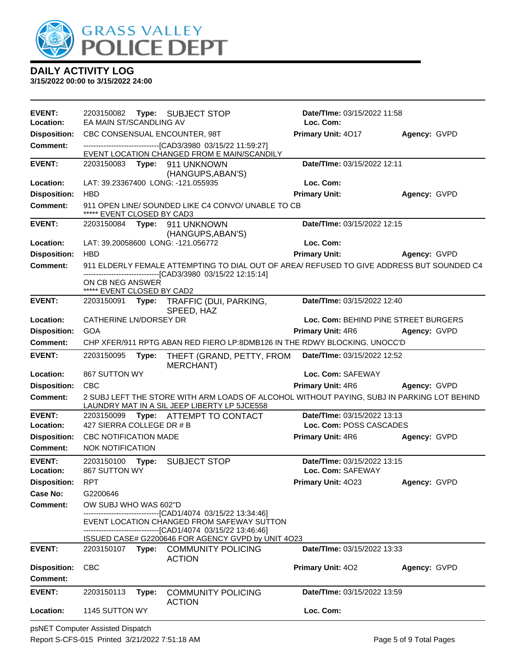

**3/15/2022 00:00 to 3/15/2022 24:00**

| <b>EVENT:</b><br>Location:             | 2203150082 Type: SUBJECT STOP<br>EA MAIN ST/SCANDLING AV |       |                                                                                                                                                           | Date/TIme: 03/15/2022 11:58<br>Loc. Com: |                     |  |
|----------------------------------------|----------------------------------------------------------|-------|-----------------------------------------------------------------------------------------------------------------------------------------------------------|------------------------------------------|---------------------|--|
| <b>Disposition:</b>                    |                                                          |       | CBC CONSENSUAL ENCOUNTER, 98T                                                                                                                             | Primary Unit: 4017                       | Agency: GVPD        |  |
| <b>Comment:</b>                        |                                                          |       |                                                                                                                                                           |                                          |                     |  |
|                                        |                                                          |       | -------------------------------[CAD3/3980 03/15/22 11:59:27]<br>EVENT LOCATION CHANGED FROM E MAIN/SCANDILY                                               |                                          |                     |  |
| <b>EVENT:</b>                          |                                                          |       | 2203150083 Type: 911 UNKNOWN                                                                                                                              | Date/TIme: 03/15/2022 12:11              |                     |  |
|                                        |                                                          |       | (HANGUPS, ABAN'S)                                                                                                                                         |                                          |                     |  |
| Location:                              |                                                          |       | LAT: 39.23367400 LONG: -121.055935                                                                                                                        | Loc. Com:                                |                     |  |
| <b>Disposition:</b>                    | <b>HBD</b>                                               |       |                                                                                                                                                           | <b>Primary Unit:</b>                     | Agency: GVPD        |  |
| <b>Comment:</b>                        | ***** EVENT CLOSED BY CAD3                               |       | 911 OPEN LINE/ SOUNDED LIKE C4 CONVO/ UNABLE TO CB                                                                                                        |                                          |                     |  |
| <b>EVENT:</b>                          |                                                          |       | 2203150084 Type: 911 UNKNOWN                                                                                                                              | Date/TIme: 03/15/2022 12:15              |                     |  |
|                                        |                                                          |       | (HANGUPS, ABAN'S)                                                                                                                                         |                                          |                     |  |
| Location:                              |                                                          |       | LAT: 39.20058600 LONG: -121.056772                                                                                                                        | Loc. Com:                                |                     |  |
| <b>Disposition:</b>                    | <b>HBD</b>                                               |       |                                                                                                                                                           | <b>Primary Unit:</b>                     | Agency: GVPD        |  |
| <b>Comment:</b>                        |                                                          |       | 911 ELDERLY FEMALE ATTEMPTING TO DIAL OUT OF AREA/ REFUSED TO GIVE ADDRESS BUT SOUNDED C4<br>-------------------------------[CAD3/3980 03/15/22 12:15:14] |                                          |                     |  |
|                                        | ON CB NEG ANSWER                                         |       |                                                                                                                                                           |                                          |                     |  |
| <b>EVENT:</b>                          | ***** EVENT CLOSED BY CAD2                               |       |                                                                                                                                                           | Date/TIme: 03/15/2022 12:40              |                     |  |
|                                        |                                                          |       | 2203150091 Type: TRAFFIC (DUI, PARKING,<br>SPEED, HAZ                                                                                                     |                                          |                     |  |
| Location:                              | CATHERINE LN/DORSEY DR                                   |       |                                                                                                                                                           | Loc. Com: BEHIND PINE STREET BURGERS     |                     |  |
| <b>Disposition:</b>                    | <b>GOA</b>                                               |       |                                                                                                                                                           | Primary Unit: 4R6                        | Agency: GVPD        |  |
| Comment:                               |                                                          |       | CHP XFER/911 RPTG ABAN RED FIERO LP:8DMB126 IN THE RDWY BLOCKING. UNOCC'D                                                                                 |                                          |                     |  |
| <b>EVENT:</b>                          | 2203150095                                               | Type: | THEFT (GRAND, PETTY, FROM                                                                                                                                 | Date/TIme: 03/15/2022 12:52              |                     |  |
|                                        |                                                          |       | <b>MERCHANT)</b>                                                                                                                                          |                                          |                     |  |
| Location:                              | 867 SUTTON WY                                            |       |                                                                                                                                                           | Loc. Com: SAFEWAY                        |                     |  |
| <b>Disposition:</b><br><b>Comment:</b> | <b>CBC</b>                                               |       | 2 SUBJ LEFT THE STORE WITH ARM LOADS OF ALCOHOL WITHOUT PAYING, SUBJ IN PARKING LOT BEHIND                                                                | <b>Primary Unit: 4R6</b>                 | <b>Agency: GVPD</b> |  |
|                                        |                                                          |       | LAUNDRY MAT IN A SIL JEEP LIBERTY LP 5JCE558                                                                                                              |                                          |                     |  |
| <b>EVENT:</b>                          |                                                          |       | 2203150099 Type: ATTEMPT TO CONTACT                                                                                                                       | Date/TIme: 03/15/2022 13:13              |                     |  |
| Location:                              | 427 SIERRA COLLEGE DR # B                                |       |                                                                                                                                                           | Loc. Com: POSS CASCADES                  |                     |  |
| <b>Disposition:</b>                    | CBC NOTIFICATION MADE                                    |       |                                                                                                                                                           | <b>Primary Unit: 4R6</b>                 | Agency: GVPD        |  |
| Comment:                               | <b>NOK NOTIFICATION</b>                                  |       |                                                                                                                                                           |                                          |                     |  |
| <b>EVENT:</b>                          | 2203150100 Type:                                         |       | <b>SUBJECT STOP</b>                                                                                                                                       | Date/TIme: 03/15/2022 13:15              |                     |  |
| Location:<br><b>Disposition:</b>       | 867 SUTTON WY<br><b>RPT</b>                              |       |                                                                                                                                                           | Loc. Com: SAFEWAY<br>Primary Unit: 4023  | Agency: GVPD        |  |
| Case No:                               | G2200646                                                 |       |                                                                                                                                                           |                                          |                     |  |
| Comment:                               | OW SUBJ WHO WAS 602"D                                    |       |                                                                                                                                                           |                                          |                     |  |
|                                        |                                                          |       | ------------------------[CAD1/4074_03/15/22 13:34:46]                                                                                                     |                                          |                     |  |
|                                        |                                                          |       | EVENT LOCATION CHANGED FROM SAFEWAY SUTTON                                                                                                                |                                          |                     |  |
|                                        |                                                          |       | ISSUED CASE# G2200646 FOR AGENCY GVPD by UNIT 4O23                                                                                                        |                                          |                     |  |
| <b>EVENT:</b>                          | 2203150107 <b>Type:</b>                                  |       | <b>COMMUNITY POLICING</b><br><b>ACTION</b>                                                                                                                | Date/TIme: 03/15/2022 13:33              |                     |  |
| <b>Disposition:</b>                    | <b>CBC</b>                                               |       |                                                                                                                                                           | Primary Unit: 402                        | Agency: GVPD        |  |
| <b>Comment:</b>                        |                                                          |       |                                                                                                                                                           |                                          |                     |  |
| <b>EVENT:</b>                          | 2203150113                                               | Type: | <b>COMMUNITY POLICING</b>                                                                                                                                 | <b>Date/Time: 03/15/2022 13:59</b>       |                     |  |
| Location:                              | 1145 SUTTON WY                                           |       | <b>ACTION</b>                                                                                                                                             | Loc. Com:                                |                     |  |
|                                        |                                                          |       |                                                                                                                                                           |                                          |                     |  |

psNET Computer Assisted Dispatch Report S-CFS-015 Printed 3/21/2022 7:51:18 AM Page 5 of 9 Total Pages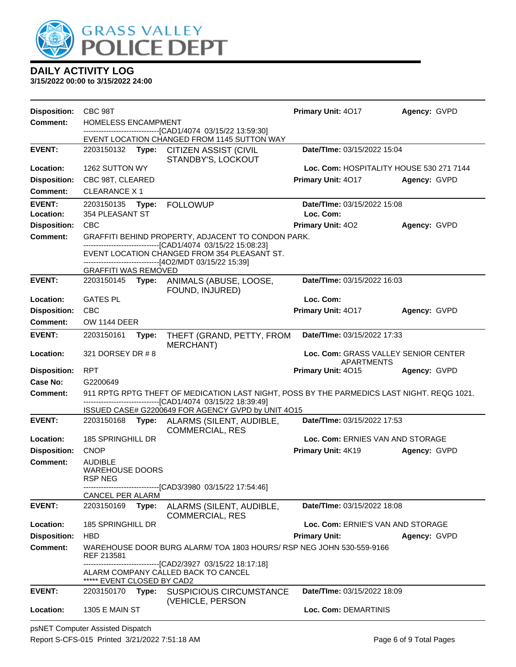

| <b>Disposition:</b> | CBC 98T                                                                        |       |                                                                                                                                                                                                                  | Primary Unit: 4017                       | Agency: GVPD |  |
|---------------------|--------------------------------------------------------------------------------|-------|------------------------------------------------------------------------------------------------------------------------------------------------------------------------------------------------------------------|------------------------------------------|--------------|--|
| <b>Comment:</b>     | HOMELESS ENCAMPMENT                                                            |       |                                                                                                                                                                                                                  |                                          |              |  |
|                     |                                                                                |       | EVENT LOCATION CHANGED FROM 1145 SUTTON WAY                                                                                                                                                                      |                                          |              |  |
| <b>EVENT:</b>       | 2203150132 Type:                                                               |       | CITIZEN ASSIST (CIVIL<br>STANDBY'S, LOCKOUT                                                                                                                                                                      | Date/TIme: 03/15/2022 15:04              |              |  |
| Location:           | 1262 SUTTON WY                                                                 |       |                                                                                                                                                                                                                  | Loc. Com: HOSPITALITY HOUSE 530 271 7144 |              |  |
| <b>Disposition:</b> | CBC 98T, CLEARED                                                               |       |                                                                                                                                                                                                                  | Primary Unit: 4017                       | Agency: GVPD |  |
| <b>Comment:</b>     | <b>CLEARANCE X1</b>                                                            |       |                                                                                                                                                                                                                  |                                          |              |  |
| <b>EVENT:</b>       | 2203150135                                                                     | Type: | <b>FOLLOWUP</b>                                                                                                                                                                                                  | Date/TIme: 03/15/2022 15:08              |              |  |
| Location:           | 354 PLEASANT ST                                                                |       |                                                                                                                                                                                                                  | Loc. Com:                                |              |  |
| <b>Disposition:</b> | <b>CBC</b>                                                                     |       |                                                                                                                                                                                                                  | Primary Unit: 402                        | Agency: GVPD |  |
| <b>Comment:</b>     |                                                                                |       | GRAFFITI BEHIND PROPERTY, ADJACENT TO CONDON PARK.                                                                                                                                                               |                                          |              |  |
|                     |                                                                                |       | -------------------------------[CAD1/4074 03/15/22 15:08:23]<br>EVENT LOCATION CHANGED FROM 354 PLEASANT ST.<br>------------------------------[4O2/MDT 03/15/22 15:39]                                           |                                          |              |  |
|                     | <b>GRAFFITI WAS REMOVED</b>                                                    |       |                                                                                                                                                                                                                  |                                          |              |  |
| <b>EVENT:</b>       |                                                                                |       | 2203150145 Type: ANIMALS (ABUSE, LOOSE,<br>FOUND, INJURED)                                                                                                                                                       | Date/TIme: 03/15/2022 16:03              |              |  |
| Location:           | <b>GATES PL</b>                                                                |       |                                                                                                                                                                                                                  | Loc. Com:                                |              |  |
| <b>Disposition:</b> | <b>CBC</b>                                                                     |       |                                                                                                                                                                                                                  | Primary Unit: 4017                       | Agency: GVPD |  |
| <b>Comment:</b>     | <b>OW 1144 DEER</b>                                                            |       |                                                                                                                                                                                                                  |                                          |              |  |
| <b>EVENT:</b>       | 2203150161                                                                     | Type: | THEFT (GRAND, PETTY, FROM<br><b>MERCHANT)</b>                                                                                                                                                                    | Date/TIme: 03/15/2022 17:33              |              |  |
| Location:           | 321 DORSEY DR # 8<br>Loc. Com: GRASS VALLEY SENIOR CENTER<br><b>APARTMENTS</b> |       |                                                                                                                                                                                                                  |                                          |              |  |
| <b>Disposition:</b> | <b>RPT</b>                                                                     |       |                                                                                                                                                                                                                  | Primary Unit: 4015                       | Agency: GVPD |  |
| Case No:            | G2200649                                                                       |       |                                                                                                                                                                                                                  |                                          |              |  |
| <b>Comment:</b>     |                                                                                |       | 911 RPTG RPTG THEFT OF MEDICATION LAST NIGHT, POSS BY THE PARMEDICS LAST NIGHT. REQG 1021.<br>-------------------------------[CAD1/4074 03/15/22 18:39:49]<br>ISSUED CASE# G2200649 FOR AGENCY GVPD by UNIT 4O15 |                                          |              |  |
| <b>EVENT:</b>       |                                                                                |       | 2203150168 Type: ALARMS (SILENT, AUDIBLE,<br><b>COMMERCIAL, RES</b>                                                                                                                                              | Date/TIme: 03/15/2022 17:53              |              |  |
| Location:           | 185 SPRINGHILL DR                                                              |       |                                                                                                                                                                                                                  | Loc. Com: ERNIES VAN AND STORAGE         |              |  |
| <b>Disposition:</b> | <b>CNOP</b>                                                                    |       |                                                                                                                                                                                                                  | Primary Unit: 4K19                       | Agency: GVPD |  |
| <b>Comment:</b>     | <b>AUDIBLE</b><br><b>WAREHOUSE DOORS</b><br><b>RSP NEG</b>                     |       |                                                                                                                                                                                                                  |                                          |              |  |
|                     | CANCEL PER ALARM                                                               |       | -------------------------------[CAD3/3980_03/15/22 17:54:46]                                                                                                                                                     |                                          |              |  |
| <b>EVENT:</b>       | 2203150169                                                                     | Type: | ALARMS (SILENT, AUDIBLE,<br><b>COMMERCIAL, RES</b>                                                                                                                                                               | Date/TIme: 03/15/2022 18:08              |              |  |
| Location:           | 185 SPRINGHILL DR                                                              |       |                                                                                                                                                                                                                  | Loc. Com: ERNIE'S VAN AND STORAGE        |              |  |
| <b>Disposition:</b> | <b>HBD</b>                                                                     |       |                                                                                                                                                                                                                  | <b>Primary Unit:</b>                     | Agency: GVPD |  |
| <b>Comment:</b>     | REF 213581                                                                     |       | WAREHOUSE DOOR BURG ALARM/TOA 1803 HOURS/RSP NEG JOHN 530-559-9166                                                                                                                                               |                                          |              |  |
|                     | ***** EVENT CLOSED BY CAD2                                                     |       | --------------------------[CAD2/3927 03/15/22 18:17:18]<br>ALARM COMPANY CALLED BACK TO CANCEL                                                                                                                   |                                          |              |  |
| <b>EVENT:</b>       | 2203150170                                                                     | Type: | <b>SUSPICIOUS CIRCUMSTANCE</b>                                                                                                                                                                                   | Date/TIme: 03/15/2022 18:09              |              |  |
| Location:           | <b>1305 E MAIN ST</b>                                                          |       | (VEHICLE, PERSON                                                                                                                                                                                                 | Loc. Com: DEMARTINIS                     |              |  |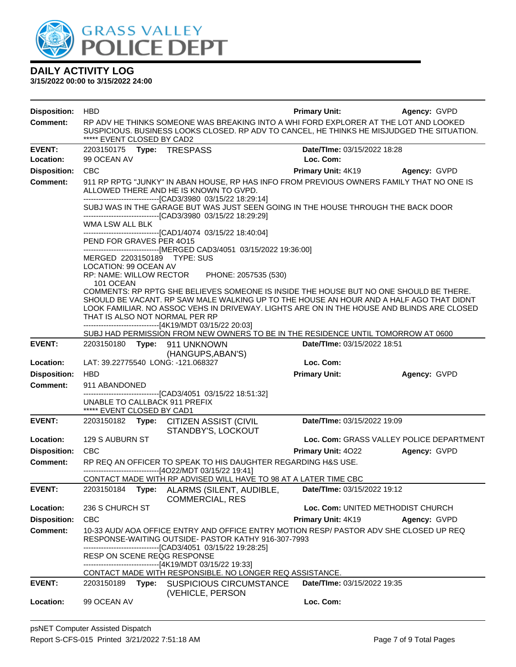

| <b>Disposition:</b>        | <b>HBD</b>                                                  |                                                                                                                                                                                                                                                                                                                                                            | <b>Primary Unit:</b>                     | Agency: GVPD                             |
|----------------------------|-------------------------------------------------------------|------------------------------------------------------------------------------------------------------------------------------------------------------------------------------------------------------------------------------------------------------------------------------------------------------------------------------------------------------------|------------------------------------------|------------------------------------------|
| <b>Comment:</b>            | ***** EVENT CLOSED BY CAD2                                  | RP ADV HE THINKS SOMEONE WAS BREAKING INTO A WHI FORD EXPLORER AT THE LOT AND LOOKED<br>SUSPICIOUS. BUSINESS LOOKS CLOSED. RP ADV TO CANCEL, HE THINKS HE MISJUDGED THE SITUATION.                                                                                                                                                                         |                                          |                                          |
| <b>EVENT:</b><br>Location: | 99 OCEAN AV                                                 |                                                                                                                                                                                                                                                                                                                                                            | Date/TIme: 03/15/2022 18:28<br>Loc. Com: |                                          |
| <b>Disposition:</b>        | <b>CBC</b>                                                  |                                                                                                                                                                                                                                                                                                                                                            | <b>Primary Unit: 4K19 Agency: GVPD</b>   |                                          |
| <b>Comment:</b>            |                                                             | 911 RP RPTG "JUNKY" IN ABAN HOUSE, RP HAS INFO FROM PREVIOUS OWNERS FAMILY THAT NO ONE IS<br>ALLOWED THERE AND HE IS KNOWN TO GVPD.<br>--------------------------------[CAD3/3980 03/15/22 18:29:14]<br>SUBJ WAS IN THE GARAGE BUT WAS JUST SEEN GOING IN THE HOUSE THROUGH THE BACK DOOR<br>--------------------------------[CAD3/3980 03/15/22 18:29:29] |                                          |                                          |
|                            | WMA LSW ALL BLK<br>PEND FOR GRAVES PER 4015                 | -------------------------------[CAD1/4074 03/15/22 18:40:04]                                                                                                                                                                                                                                                                                               |                                          |                                          |
|                            | MERGED 2203150189 TYPE: SUS<br>LOCATION: 99 OCEAN AV        | -------------------------------[MERGED CAD3/4051 03/15/2022 19:36:00]                                                                                                                                                                                                                                                                                      |                                          |                                          |
|                            | 101 OCEAN<br>THAT IS ALSO NOT NORMAL PER RP                 | RP: NAME: WILLOW RECTOR PHONE: 2057535 (530)<br>COMMENTS: RP RPTG SHE BELIEVES SOMEONE IS INSIDE THE HOUSE BUT NO ONE SHOULD BE THERE.<br>SHOULD BE VACANT. RP SAW MALE WALKING UP TO THE HOUSE AN HOUR AND A HALF AGO THAT DIDNT<br>LOOK FAMILIAR. NO ASSOC VEHS IN DRIVEWAY. LIGHTS ARE ON IN THE HOUSE AND BLINDS ARE CLOSED                            |                                          |                                          |
|                            |                                                             | ------------------------------[4K19/MDT 03/15/22 20:03]                                                                                                                                                                                                                                                                                                    |                                          |                                          |
| <b>EVENT:</b>              |                                                             | SUBJ HAD PERMISSION FROM NEW OWNERS TO BE IN THE RESIDENCE UNTIL TOMORROW AT 0600<br>2203150180 Type: 911 UNKNOWN                                                                                                                                                                                                                                          | Date/TIme: 03/15/2022 18:51              |                                          |
|                            |                                                             | (HANGUPS, ABAN'S)                                                                                                                                                                                                                                                                                                                                          |                                          |                                          |
| Location:                  | LAT: 39.22775540 LONG: -121.068327                          |                                                                                                                                                                                                                                                                                                                                                            | Loc. Com:                                |                                          |
| <b>Disposition:</b>        | <b>HBD</b>                                                  |                                                                                                                                                                                                                                                                                                                                                            | <b>Primary Unit:</b>                     | Agency: GVPD                             |
| <b>Comment:</b>            | 911 ABANDONED                                               |                                                                                                                                                                                                                                                                                                                                                            |                                          |                                          |
|                            | UNABLE TO CALLBACK 911 PREFIX<br>***** EVENT CLOSED BY CAD1 | --------------------------------[CAD3/4051 03/15/22 18:51:32]                                                                                                                                                                                                                                                                                              |                                          |                                          |
| <b>EVENT:</b>              |                                                             | 2203150182 Type: CITIZEN ASSIST (CIVIL<br>STANDBY'S, LOCKOUT                                                                                                                                                                                                                                                                                               | Date/TIme: 03/15/2022 19:09              |                                          |
| Location:                  | 129 S AUBURN ST                                             |                                                                                                                                                                                                                                                                                                                                                            |                                          | Loc. Com: GRASS VALLEY POLICE DEPARTMENT |
| <b>Disposition:</b>        | <b>CBC</b>                                                  |                                                                                                                                                                                                                                                                                                                                                            | Primary Unit: 4022                       | Agency: GVPD                             |
| <b>Comment:</b>            |                                                             | RP REQ AN OFFICER TO SPEAK TO HIS DAUGHTER REGARDING H&S USE.<br>--------------------------------[4O22/MDT 03/15/22 19:41]                                                                                                                                                                                                                                 |                                          |                                          |
| <b>EVENT:</b>              | 2203150184                                                  | CONTACT MADE WITH RP ADVISED WILL HAVE TO 98 AT A LATER TIME CBC<br>Type: ALARMS (SILENT, AUDIBLE,                                                                                                                                                                                                                                                         | Date/TIme: 03/15/2022 19:12              |                                          |
|                            |                                                             | <b>COMMERCIAL, RES</b>                                                                                                                                                                                                                                                                                                                                     |                                          |                                          |
| Location:                  | 236 S CHURCH ST                                             |                                                                                                                                                                                                                                                                                                                                                            |                                          | Loc. Com: UNITED METHODIST CHURCH        |
| <b>Disposition:</b>        | <b>CBC</b>                                                  |                                                                                                                                                                                                                                                                                                                                                            | Primary Unit: 4K19                       | Agency: GVPD                             |
| <b>Comment:</b>            |                                                             | 10-33 AUD/ AOA OFFICE ENTRY AND OFFICE ENTRY MOTION RESP/ PASTOR ADV SHE CLOSED UP REQ<br>RESPONSE-WAITING OUTSIDE- PASTOR KATHY 916-307-7993<br>--------------------------------[CAD3/4051 03/15/22 19:28:25]                                                                                                                                             |                                          |                                          |
|                            | RESP ON SCENE REQG RESPONSE                                 | --------------------------------[4K19/MDT 03/15/22 19:33]<br>CONTACT MADE WITH RESPONSIBLE. NO LONGER REQ ASSISTANCE.                                                                                                                                                                                                                                      |                                          |                                          |
| <b>EVENT:</b>              | 2203150189<br>Type:                                         | <b>SUSPICIOUS CIRCUMSTANCE</b><br>(VEHICLE, PERSON                                                                                                                                                                                                                                                                                                         | Date/TIme: 03/15/2022 19:35              |                                          |
| Location:                  | 99 OCEAN AV                                                 |                                                                                                                                                                                                                                                                                                                                                            | Loc. Com:                                |                                          |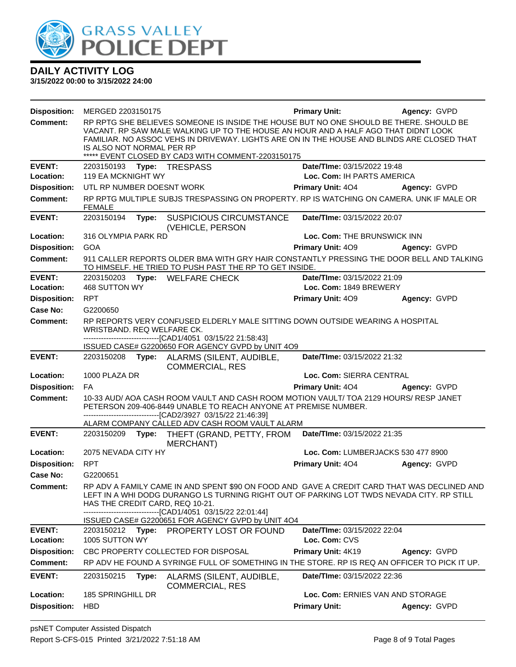

| <b>Disposition:</b> | MERGED 2203150175                                                                                                                                                                                                                                                                                                                                             |       |                                                                                                                                                                                                                                                                                                               | <b>Primary Unit:</b>        | Agency: GVPD                       |  |  |
|---------------------|---------------------------------------------------------------------------------------------------------------------------------------------------------------------------------------------------------------------------------------------------------------------------------------------------------------------------------------------------------------|-------|---------------------------------------------------------------------------------------------------------------------------------------------------------------------------------------------------------------------------------------------------------------------------------------------------------------|-----------------------------|------------------------------------|--|--|
| <b>Comment:</b>     | RP RPTG SHE BELIEVES SOMEONE IS INSIDE THE HOUSE BUT NO ONE SHOULD BE THERE. SHOULD BE<br>VACANT. RP SAW MALE WALKING UP TO THE HOUSE AN HOUR AND A HALF AGO THAT DIDNT LOOK<br>FAMILIAR. NO ASSOC VEHS IN DRIVEWAY. LIGHTS ARE ON IN THE HOUSE AND BLINDS ARE CLOSED THAT<br>IS ALSO NOT NORMAL PER RP<br>***** EVENT CLOSED BY CAD3 WITH COMMENT-2203150175 |       |                                                                                                                                                                                                                                                                                                               |                             |                                    |  |  |
| <b>EVENT:</b>       |                                                                                                                                                                                                                                                                                                                                                               |       |                                                                                                                                                                                                                                                                                                               | Date/TIme: 03/15/2022 19:48 |                                    |  |  |
| Location:           | <b>119 EA MCKNIGHT WY</b>                                                                                                                                                                                                                                                                                                                                     |       |                                                                                                                                                                                                                                                                                                               | Loc. Com: IH PARTS AMERICA  |                                    |  |  |
| <b>Disposition:</b> | UTL RP NUMBER DOESNT WORK                                                                                                                                                                                                                                                                                                                                     |       |                                                                                                                                                                                                                                                                                                               | <b>Primary Unit: 404</b>    | Agency: GVPD                       |  |  |
| Comment:            | <b>FEMALE</b>                                                                                                                                                                                                                                                                                                                                                 |       | RP RPTG MULTIPLE SUBJS TRESPASSING ON PROPERTY. RP IS WATCHING ON CAMERA. UNK IF MALE OR                                                                                                                                                                                                                      |                             |                                    |  |  |
| <b>EVENT:</b>       | 2203150194                                                                                                                                                                                                                                                                                                                                                    | Type: | <b>SUSPICIOUS CIRCUMSTANCE</b><br>(VEHICLE, PERSON                                                                                                                                                                                                                                                            | Date/TIme: 03/15/2022 20:07 |                                    |  |  |
| Location:           | 316 OLYMPIA PARK RD                                                                                                                                                                                                                                                                                                                                           |       |                                                                                                                                                                                                                                                                                                               | Loc. Com: THE BRUNSWICK INN |                                    |  |  |
| <b>Disposition:</b> | <b>GOA</b>                                                                                                                                                                                                                                                                                                                                                    |       |                                                                                                                                                                                                                                                                                                               | Primary Unit: 409           | Agency: GVPD                       |  |  |
| <b>Comment:</b>     |                                                                                                                                                                                                                                                                                                                                                               |       | 911 CALLER REPORTS OLDER BMA WITH GRY HAIR CONSTANTLY PRESSING THE DOOR BELL AND TALKING<br>TO HIMSELF. HE TRIED TO PUSH PAST THE RP TO GET INSIDE.                                                                                                                                                           |                             |                                    |  |  |
| <b>EVENT:</b>       | 2203150203                                                                                                                                                                                                                                                                                                                                                    | Type: | <b>WELFARE CHECK</b>                                                                                                                                                                                                                                                                                          | Date/TIme: 03/15/2022 21:09 |                                    |  |  |
| Location:           | 468 SUTTON WY                                                                                                                                                                                                                                                                                                                                                 |       |                                                                                                                                                                                                                                                                                                               | Loc. Com: 1849 BREWERY      |                                    |  |  |
| <b>Disposition:</b> | <b>RPT</b>                                                                                                                                                                                                                                                                                                                                                    |       |                                                                                                                                                                                                                                                                                                               | Primary Unit: 409           | Agency: GVPD                       |  |  |
| Case No:            | G2200650                                                                                                                                                                                                                                                                                                                                                      |       |                                                                                                                                                                                                                                                                                                               |                             |                                    |  |  |
| <b>Comment:</b>     | WRISTBAND. REQ WELFARE CK.                                                                                                                                                                                                                                                                                                                                    |       | RP REPORTS VERY CONFUSED ELDERLY MALE SITTING DOWN OUTSIDE WEARING A HOSPITAL<br>--------------------------------[CAD1/4051 03/15/22 21:58:43]                                                                                                                                                                |                             |                                    |  |  |
|                     |                                                                                                                                                                                                                                                                                                                                                               |       | ISSUED CASE# G2200650 FOR AGENCY GVPD by UNIT 4O9                                                                                                                                                                                                                                                             |                             |                                    |  |  |
| <b>EVENT:</b>       |                                                                                                                                                                                                                                                                                                                                                               |       | 2203150208 Type: ALARMS (SILENT, AUDIBLE,<br><b>COMMERCIAL, RES</b>                                                                                                                                                                                                                                           | Date/TIme: 03/15/2022 21:32 |                                    |  |  |
| Location:           | 1000 PLAZA DR                                                                                                                                                                                                                                                                                                                                                 |       |                                                                                                                                                                                                                                                                                                               | Loc. Com: SIERRA CENTRAL    |                                    |  |  |
| <b>Disposition:</b> | FA                                                                                                                                                                                                                                                                                                                                                            |       |                                                                                                                                                                                                                                                                                                               | <b>Primary Unit: 404</b>    | Agency: GVPD                       |  |  |
| <b>Comment:</b>     | 10-33 AUD/ AOA CASH ROOM VAULT AND CASH ROOM MOTION VAULT/ TOA 2129 HOURS/ RESP JANET<br>PETERSON 209-406-8449 UNABLE TO REACH ANYONE AT PREMISE NUMBER.<br>--------------------------------[CAD2/3927 03/15/22 21:46:39]                                                                                                                                     |       |                                                                                                                                                                                                                                                                                                               |                             |                                    |  |  |
|                     |                                                                                                                                                                                                                                                                                                                                                               |       | ALARM COMPANY CALLED ADV CASH ROOM VAULT ALARM                                                                                                                                                                                                                                                                |                             |                                    |  |  |
| <b>EVENT:</b>       | 2203150209                                                                                                                                                                                                                                                                                                                                                    | Type: | THEFT (GRAND, PETTY, FROM<br><b>MERCHANT</b> )                                                                                                                                                                                                                                                                | Date/TIme: 03/15/2022 21:35 |                                    |  |  |
| Location:           | 2075 NEVADA CITY HY                                                                                                                                                                                                                                                                                                                                           |       |                                                                                                                                                                                                                                                                                                               |                             | Loc. Com: LUMBERJACKS 530 477 8900 |  |  |
| <b>Disposition:</b> | <b>RPT</b>                                                                                                                                                                                                                                                                                                                                                    |       |                                                                                                                                                                                                                                                                                                               | Primary Unit: 404           | Agency: GVPD                       |  |  |
| Case No:            | G2200651                                                                                                                                                                                                                                                                                                                                                      |       |                                                                                                                                                                                                                                                                                                               |                             |                                    |  |  |
| <b>Comment:</b>     | HAS THE CREDIT CARD, REQ 10-21.                                                                                                                                                                                                                                                                                                                               |       | RP ADV A FAMILY CAME IN AND SPENT \$90 ON FOOD AND GAVE A CREDIT CARD THAT WAS DECLINED AND<br>LEFT IN A WHI DODG DURANGO LS TURNING RIGHT OUT OF PARKING LOT TWDS NEVADA CITY. RP STILL<br>-------------------------------[CAD1/4051 03/15/22 22:01:44]<br>ISSUED CASE# G2200651 FOR AGENCY GVPD by UNIT 4O4 |                             |                                    |  |  |
| <b>EVENT:</b>       | 2203150212                                                                                                                                                                                                                                                                                                                                                    | Type: | PROPERTY LOST OR FOUND                                                                                                                                                                                                                                                                                        | Date/TIme: 03/15/2022 22:04 |                                    |  |  |
| Location:           | 1005 SUTTON WY                                                                                                                                                                                                                                                                                                                                                |       |                                                                                                                                                                                                                                                                                                               | Loc. Com: CVS               |                                    |  |  |
| <b>Disposition:</b> |                                                                                                                                                                                                                                                                                                                                                               |       | CBC PROPERTY COLLECTED FOR DISPOSAL                                                                                                                                                                                                                                                                           | Primary Unit: 4K19          | Agency: GVPD                       |  |  |
| Comment:            |                                                                                                                                                                                                                                                                                                                                                               |       | RP ADV HE FOUND A SYRINGE FULL OF SOMETHING IN THE STORE. RP IS REQ AN OFFICER TO PICK IT UP.                                                                                                                                                                                                                 |                             |                                    |  |  |
| <b>EVENT:</b>       | 2203150215                                                                                                                                                                                                                                                                                                                                                    | Type: | ALARMS (SILENT, AUDIBLE,<br><b>COMMERCIAL, RES</b>                                                                                                                                                                                                                                                            | Date/TIme: 03/15/2022 22:36 |                                    |  |  |
| Location:           | 185 SPRINGHILL DR                                                                                                                                                                                                                                                                                                                                             |       |                                                                                                                                                                                                                                                                                                               |                             | Loc. Com: ERNIES VAN AND STORAGE   |  |  |
| <b>Disposition:</b> | <b>HBD</b>                                                                                                                                                                                                                                                                                                                                                    |       |                                                                                                                                                                                                                                                                                                               | <b>Primary Unit:</b>        | Agency: GVPD                       |  |  |